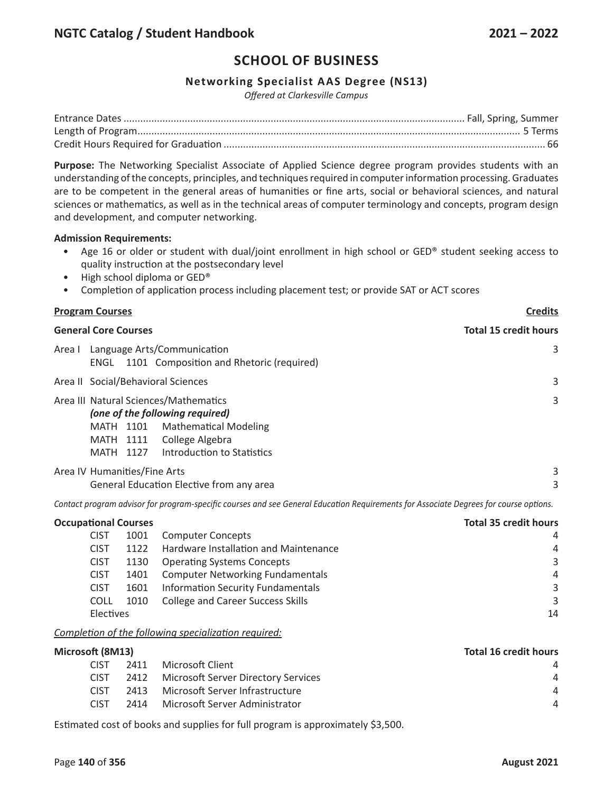## **Networking Specialist AAS Degree (NS13)**

*Offered at Clarkesville Campus*

**Purpose:** The Networking Specialist Associate of Applied Science degree program provides students with an understanding of the concepts, principles, and techniques required in computer information processing. Graduates are to be competent in the general areas of humanities or fine arts, social or behavioral sciences, and natural sciences or mathematics, as well as in the technical areas of computer terminology and concepts, program design and development, and computer networking.

### **Admission Requirements:**

- Age 16 or older or student with dual/joint enrollment in high school or GED® student seeking access to quality instruction at the postsecondary level
- High school diploma or GED®
- Completion of application process including placement test; or provide SAT or ACT scores

| <b>Program Courses</b>                                                                                                                                                                              | <b>Credits</b>               |  |  |  |  |
|-----------------------------------------------------------------------------------------------------------------------------------------------------------------------------------------------------|------------------------------|--|--|--|--|
| <b>General Core Courses</b>                                                                                                                                                                         | <b>Total 15 credit hours</b> |  |  |  |  |
| Area I Language Arts/Communication<br>1101 Composition and Rhetoric (required)<br>ENGL                                                                                                              |                              |  |  |  |  |
| Area II Social/Behavioral Sciences                                                                                                                                                                  |                              |  |  |  |  |
| Area III Natural Sciences/Mathematics<br>(one of the following required)<br><b>Mathematical Modeling</b><br>MATH 1101<br>College Algebra<br>MATH 1111<br>Introduction to Statistics<br>1127<br>MATH | 3                            |  |  |  |  |
| Area IV Humanities/Fine Arts<br>General Education Elective from any area                                                                                                                            | 3<br>3                       |  |  |  |  |

Contact program advisor for program-specific courses and see General Education Requirements for Associate Degrees for course options.

| <b>Occupational Courses</b> |      | <b>Total 35 credit hours</b>             |                |
|-----------------------------|------|------------------------------------------|----------------|
| <b>CIST</b>                 | 1001 | <b>Computer Concepts</b>                 | 4              |
| <b>CIST</b>                 | 1122 | Hardware Installation and Maintenance    | $\overline{a}$ |
| <b>CIST</b>                 | 1130 | <b>Operating Systems Concepts</b>        | 3              |
| <b>CIST</b>                 | 1401 | <b>Computer Networking Fundamentals</b>  | $\overline{a}$ |
| <b>CIST</b>                 | 1601 | <b>Information Security Fundamentals</b> | 3              |
| COLL                        | 1010 | <b>College and Career Success Skills</b> | 3              |
| Electives                   |      |                                          | 14             |

### *Completion of the following specialization required:*

| Microsoft (8M13) |      |                                     | <b>Total 16 credit hours</b> |
|------------------|------|-------------------------------------|------------------------------|
| <b>CIST</b>      | 2411 | Microsoft Client                    | 4                            |
| <b>CIST</b>      | 2412 | Microsoft Server Directory Services | $\overline{A}$               |
| <b>CIST</b>      | 2413 | Microsoft Server Infrastructure     | Δ                            |
| <b>CIST</b>      | 2414 | Microsoft Server Administrator      | $\overline{A}$               |
|                  |      |                                     |                              |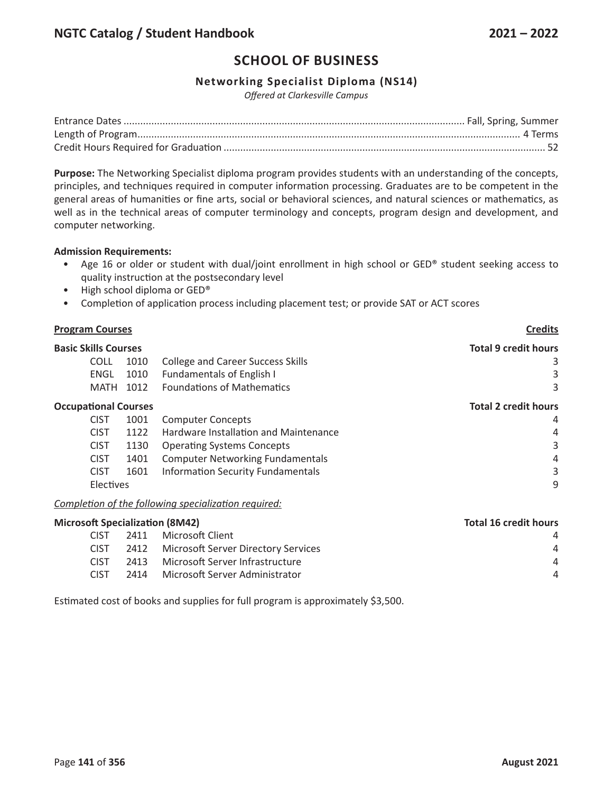## **Networking Specialist Diploma (NS14)**

*Offered at Clarkesville Campus*

**Purpose:** The Networking Specialist diploma program provides students with an understanding of the concepts, principles, and techniques required in computer information processing. Graduates are to be competent in the general areas of humanities or fine arts, social or behavioral sciences, and natural sciences or mathematics, as well as in the technical areas of computer terminology and concepts, program design and development, and computer networking.

### **Admission Requirements:**

- Age 16 or older or student with dual/joint enrollment in high school or GED® student seeking access to quality instruction at the postsecondary level
- High school diploma or GED®
- Completion of application process including placement test; or provide SAT or ACT scores

| <b>Program Courses</b>      |           | <b>Credits</b>                           |                             |
|-----------------------------|-----------|------------------------------------------|-----------------------------|
| <b>Basic Skills Courses</b> |           |                                          | <b>Total 9 credit hours</b> |
| COLL                        | 1010      | <b>College and Career Success Skills</b> | 3                           |
| ENGL                        | 1010      | <b>Fundamentals of English I</b>         | 3                           |
| MATH                        | 1012      | <b>Foundations of Mathematics</b>        | 3                           |
| <b>Occupational Courses</b> |           |                                          | <b>Total 2 credit hours</b> |
| <b>CIST</b>                 | 1001      | <b>Computer Concepts</b>                 | 4                           |
| <b>CIST</b>                 | 1122      | Hardware Installation and Maintenance    | 4                           |
| <b>CIST</b>                 | 1130      | <b>Operating Systems Concepts</b>        | 3                           |
| <b>CIST</b>                 | 1401      | <b>Computer Networking Fundamentals</b>  | 4                           |
| <b>CIST</b>                 | 1601      | <b>Information Security Fundamentals</b> | 3                           |
|                             | Electives |                                          | 9                           |
|                             |           |                                          |                             |

*Completion of the following specialization required:*

| <b>Microsoft Specialization (8M42)</b> |      |  | <b>Total 16 credit hours</b>                                                                                                           |  |
|----------------------------------------|------|--|----------------------------------------------------------------------------------------------------------------------------------------|--|
| CIST.                                  |      |  | $\overline{A}$                                                                                                                         |  |
| <b>CIST</b>                            |      |  | Δ                                                                                                                                      |  |
| <b>CIST</b>                            | 2413 |  | $\overline{A}$                                                                                                                         |  |
| <b>CIST</b>                            | 2414 |  | Δ                                                                                                                                      |  |
|                                        |      |  | 2411 Microsoft Client<br>2412 Microsoft Server Directory Services<br>Microsoft Server Infrastructure<br>Microsoft Server Administrator |  |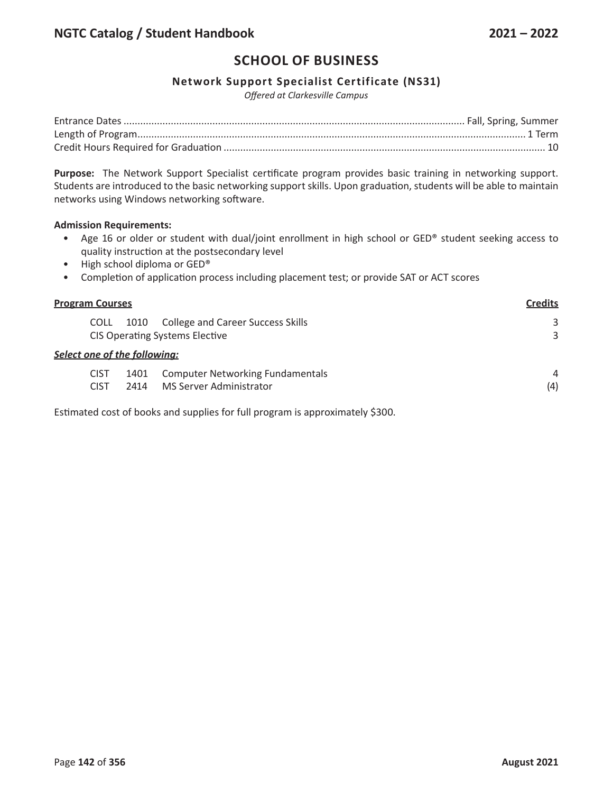## **Network Support Specialist Certificate (NS31)**

*Offered at Clarkesville Campus*

**Purpose:** The Network Support Specialist certificate program provides basic training in networking support. Students are introduced to the basic networking support skills. Upon graduation, students will be able to maintain networks using Windows networking software.

### **Admission Requirements:**

- Age 16 or older or student with dual/joint enrollment in high school or GED® student seeking access to quality instruction at the postsecondary level
- High school diploma or GED®
- Completion of application process including placement test; or provide SAT or ACT scores

| <b>Program Courses</b>              |                            |              |                                                                                   | <b>Credits</b> |
|-------------------------------------|----------------------------|--------------|-----------------------------------------------------------------------------------|----------------|
|                                     | <b>COLL</b>                | 1010         | <b>College and Career Success Skills</b><br><b>CIS Operating Systems Elective</b> | 3<br>3         |
| <b>Select one of the following:</b> |                            |              |                                                                                   |                |
|                                     | <b>CIST</b><br><b>CIST</b> | 1401<br>2414 | <b>Computer Networking Fundamentals</b><br>MS Server Administrator                | 4<br>(4)       |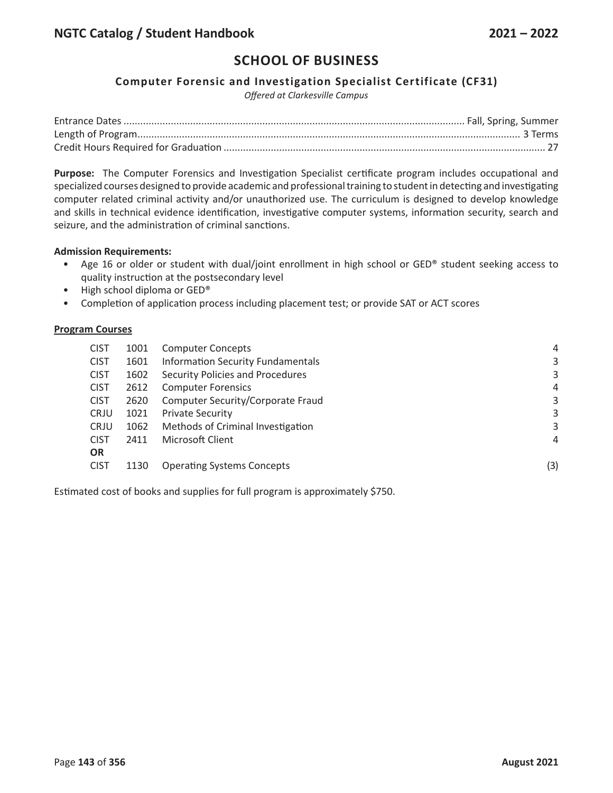## **Computer Forensic and Investigation Specialist Certificate (CF31)**

*Offered at Clarkesville Campus*

**Purpose:** The Computer Forensics and Investigation Specialist certificate program includes occupational and specialized courses designed to provide academic and professional training to student in detecting and investigating computer related criminal activity and/or unauthorized use. The curriculum is designed to develop knowledge and skills in technical evidence identification, investigative computer systems, information security, search and seizure, and the administration of criminal sanctions.

### **Admission Requirements:**

- Age 16 or older or student with dual/joint enrollment in high school or GED® student seeking access to quality instruction at the postsecondary level
- High school diploma or GED®
- Completion of application process including placement test; or provide SAT or ACT scores

### **Program Courses**

| <b>CIST</b> | 1001 | <b>Computer Concepts</b>                 | 4   |
|-------------|------|------------------------------------------|-----|
| <b>CIST</b> | 1601 | <b>Information Security Fundamentals</b> | 3   |
| <b>CIST</b> | 1602 | Security Policies and Procedures         | 3   |
| <b>CIST</b> | 2612 | <b>Computer Forensics</b>                | 4   |
| <b>CIST</b> | 2620 | Computer Security/Corporate Fraud        | 3   |
| <b>CRJU</b> | 1021 | <b>Private Security</b>                  | 3   |
| <b>CRJU</b> | 1062 | Methods of Criminal Investigation        | 3   |
| <b>CIST</b> | 2411 | Microsoft Client                         | 4   |
| <b>OR</b>   |      |                                          |     |
| <b>CIST</b> | 1130 | <b>Operating Systems Concepts</b>        | (3) |
|             |      |                                          |     |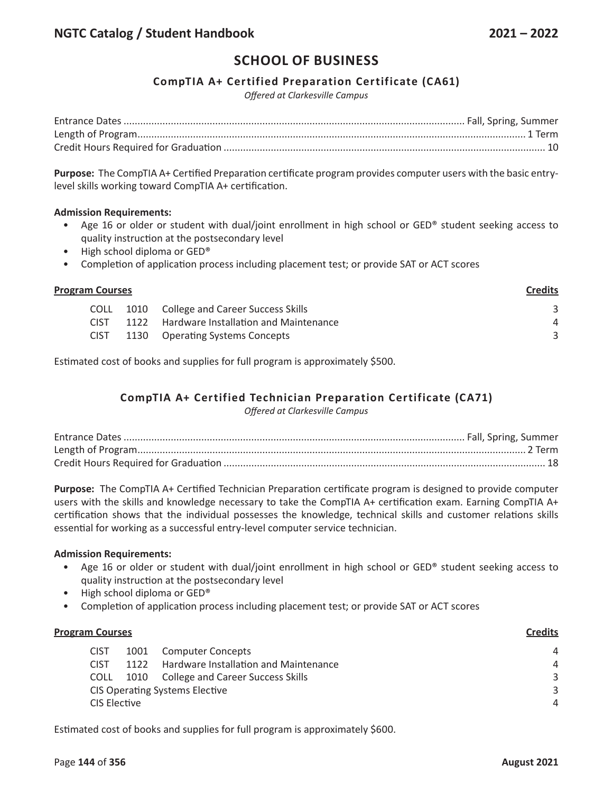## **CompTIA A+ Certified Preparation Certificate (CA61)**

*Offered at Clarkesville Campus*

**Purpose:** The CompTIA A+ Certified Preparation certificate program provides computer users with the basic entrylevel skills working toward CompTIA A+ certification.

### **Admission Requirements:**

- Age 16 or older or student with dual/joint enrollment in high school or GED® student seeking access to quality instruction at the postsecondary level
- High school diploma or GED®
- Completion of application process including placement test; or provide SAT or ACT scores

| <b>Program Courses</b> |             |      |                                              | <b>Credits</b> |
|------------------------|-------------|------|----------------------------------------------|----------------|
|                        | <b>COLL</b> |      | 1010 College and Career Success Skills       |                |
|                        | <b>CIST</b> | 1122 | <b>Hardware Installation and Maintenance</b> | Δ              |
|                        | <b>CIST</b> |      | 1130 Operating Systems Concepts              |                |

Estimated cost of books and supplies for full program is approximately \$500.

## **CompTIA A+ Certified Technician Preparation Certificate (CA71)**

*Offered at Clarkesville Campus*

**Purpose:** The CompTIA A+ Certified Technician Preparation certificate program is designed to provide computer users with the skills and knowledge necessary to take the CompTIA A+ certification exam. Earning CompTIA A+ certification shows that the individual possesses the knowledge, technical skills and customer relations skills essential for working as a successful entry-level computer service technician.

### **Admission Requirements:**

- Age 16 or older or student with dual/joint enrollment in high school or GED® student seeking access to quality instruction at the postsecondary level
- High school diploma or GED®
- Completion of application process including placement test; or provide SAT or ACT scores

| <b>Program Courses</b>                | <b>Credits</b> |                                          |                |
|---------------------------------------|----------------|------------------------------------------|----------------|
| <b>CIST</b>                           | 1001           | <b>Computer Concepts</b>                 | $\overline{A}$ |
| <b>CIST</b>                           | 1122           | Hardware Installation and Maintenance    | 4              |
| <b>COLL</b>                           | 1010           | <b>College and Career Success Skills</b> | 3              |
| <b>CIS Operating Systems Elective</b> |                |                                          | 3              |
| CIS Elective                          |                |                                          | 4              |
|                                       |                |                                          |                |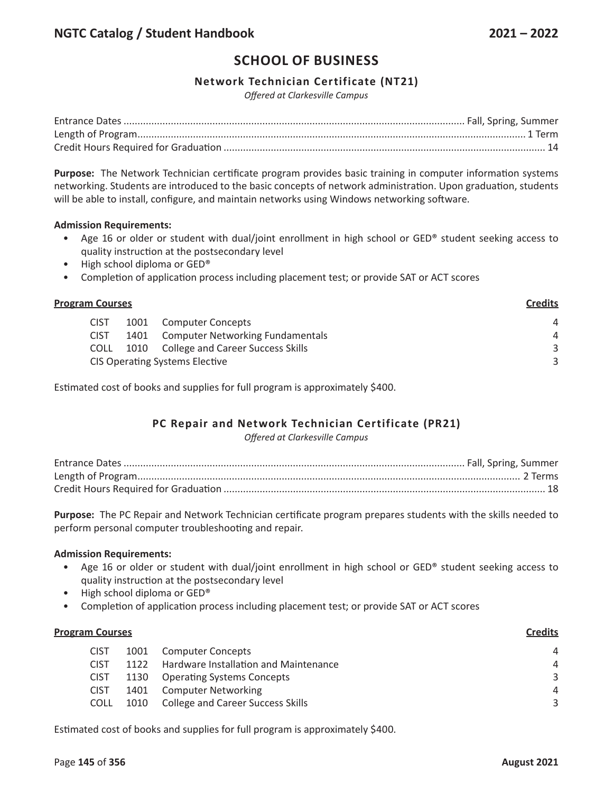## **Network Technician Certificate (NT21)**

*Offered at Clarkesville Campus*

**Purpose:** The Network Technician certificate program provides basic training in computer information systems networking. Students are introduced to the basic concepts of network administration. Upon graduation, students will be able to install, configure, and maintain networks using Windows networking software.

### **Admission Requirements:**

- Age 16 or older or student with dual/joint enrollment in high school or GED® student seeking access to quality instruction at the postsecondary level
- High school diploma or GED®
- Completion of application process including placement test; or provide SAT or ACT scores

| <b>Program Courses</b> |             |                                       |                                         | <b>Credits</b> |
|------------------------|-------------|---------------------------------------|-----------------------------------------|----------------|
|                        | <b>CIST</b> |                                       | 1001 Computer Concepts                  | 4              |
|                        | <b>CIST</b> | 1401                                  | <b>Computer Networking Fundamentals</b> | 4              |
|                        | <b>COLL</b> |                                       | 1010 College and Career Success Skills  | 3              |
|                        |             | <b>CIS Operating Systems Elective</b> | 3                                       |                |

Estimated cost of books and supplies for full program is approximately \$400.

## **PC Repair and Network Technician Certificate (PR21)**

*Offered at Clarkesville Campus*

**Purpose:** The PC Repair and Network Technician certificate program prepares students with the skills needed to perform personal computer troubleshooting and repair.

### **Admission Requirements:**

- Age 16 or older or student with dual/joint enrollment in high school or GED® student seeking access to quality instruction at the postsecondary level
- High school diploma or GED®
- Completion of application process including placement test; or provide SAT or ACT scores

| <b>Program Courses</b> |             |      |                                          | <b>Credits</b> |  |
|------------------------|-------------|------|------------------------------------------|----------------|--|
|                        | <b>CIST</b> | 1001 | <b>Computer Concepts</b>                 | $\overline{A}$ |  |
|                        | <b>CIST</b> | 1122 | Hardware Installation and Maintenance    | 4              |  |
|                        | <b>CIST</b> | 1130 | <b>Operating Systems Concepts</b>        | 3              |  |
|                        | <b>CIST</b> | 1401 | <b>Computer Networking</b>               | 4              |  |
|                        | COLL        | 1010 | <b>College and Career Success Skills</b> | 3              |  |
|                        |             |      |                                          |                |  |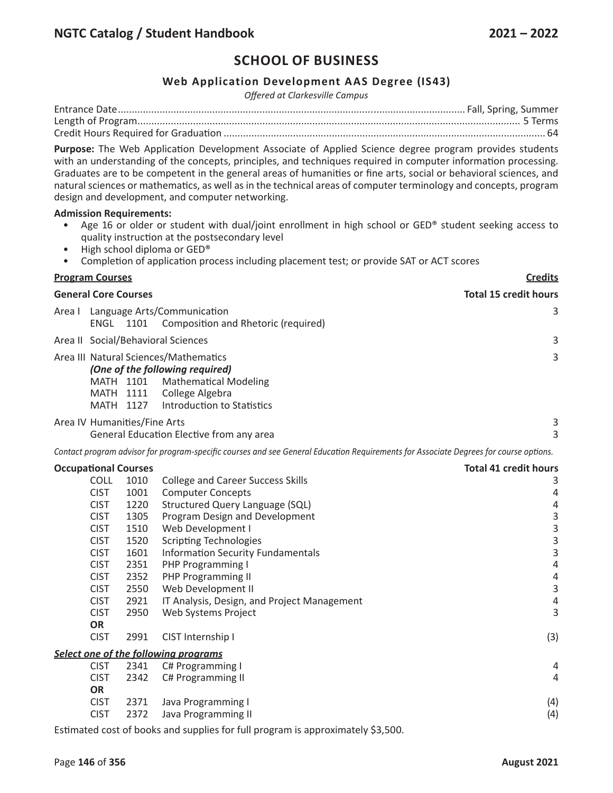## **Web Application Development AAS Degree (IS43)**

*Offered at Clarkesville Campus*

**Purpose:** The Web Application Development Associate of Applied Science degree program provides students with an understanding of the concepts, principles, and techniques required in computer information processing. Graduates are to be competent in the general areas of humanities or fine arts, social or behavioral sciences, and natural sciences or mathematics, as well as in the technical areas of computer terminology and concepts, program design and development, and computer networking.

#### **Admission Requirements:**

- Age 16 or older or student with dual/joint enrollment in high school or GED® student seeking access to quality instruction at the postsecondary level
- High school diploma or GED®
- Completion of application process including placement test; or provide SAT or ACT scores

# **Program Courses Credits General Core Courses Total 15 credit hours** Area I Language Arts/Communication 3 ENGL 1101 Composition and Rhetoric (required) Area II Social/Behavioral Sciences 3 Area III Natural Sciences/Mathematics 3 *(One of the following required)*  MATH 1101 Mathematical Modeling MATH 1111 College Algebra MATH 1127 Introduction to Statistics Area IV Humanities/Fine Arts 3 General Education Elective from any area 3

Contact program advisor for program-specific courses and see General Education Requirements for Associate Degrees for course options.

| <b>Occupational Courses</b>          |      |                                             | <b>Total 41 credit hours</b> |
|--------------------------------------|------|---------------------------------------------|------------------------------|
| COLL                                 | 1010 | <b>College and Career Success Skills</b>    | 3                            |
| <b>CIST</b>                          | 1001 | <b>Computer Concepts</b>                    | 4                            |
| <b>CIST</b>                          | 1220 | <b>Structured Query Language (SQL)</b>      | 4                            |
| <b>CIST</b>                          | 1305 | Program Design and Development              | 3                            |
| <b>CIST</b>                          | 1510 | Web Development I                           | 3                            |
| <b>CIST</b>                          | 1520 | <b>Scripting Technologies</b>               | 3                            |
| <b>CIST</b>                          | 1601 | <b>Information Security Fundamentals</b>    | 3                            |
| <b>CIST</b>                          | 2351 | PHP Programming I                           | 4                            |
| <b>CIST</b>                          | 2352 | <b>PHP Programming II</b>                   | 4                            |
| <b>CIST</b>                          | 2550 | Web Development II                          | 3                            |
| <b>CIST</b>                          | 2921 | IT Analysis, Design, and Project Management | 4                            |
| <b>CIST</b>                          | 2950 | Web Systems Project                         | 3                            |
| <b>OR</b>                            |      |                                             |                              |
| <b>CIST</b>                          | 2991 | CIST Internship I                           | (3)                          |
| Select one of the following programs |      |                                             |                              |
| <b>CIST</b>                          | 2341 | C# Programming I                            | 4                            |
| <b>CIST</b>                          | 2342 | C# Programming II                           | 4                            |
| <b>OR</b>                            |      |                                             |                              |
| <b>CIST</b>                          | 2371 | Java Programming I                          | (4)                          |
| <b>CIST</b>                          | 2372 | Java Programming II                         | (4)                          |
|                                      |      |                                             |                              |